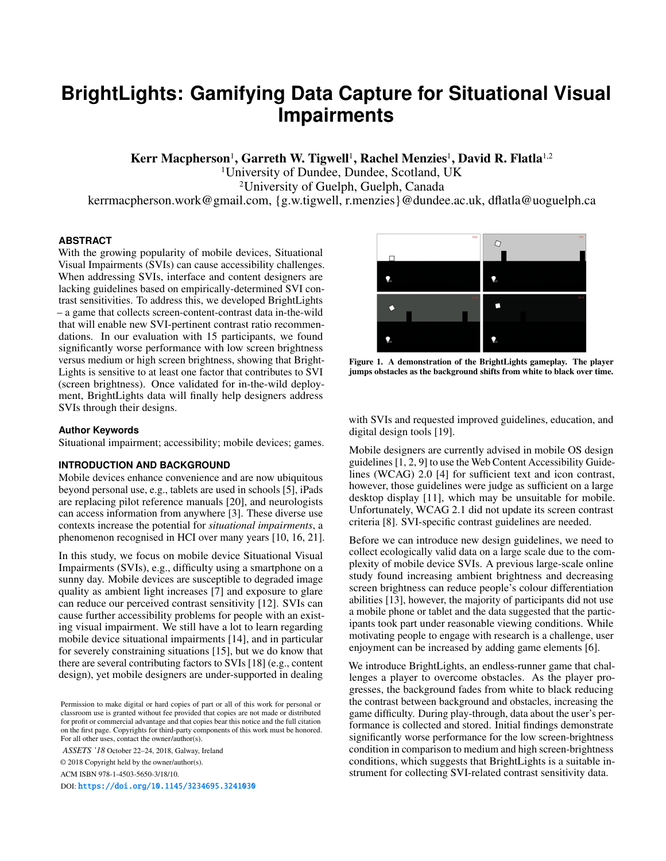# **BrightLights: Gamifying Data Capture for Situational Visual Impairments**

Kerr Macpherson<sup>1</sup>, Garreth W. Tigwell<sup>1</sup>, Rachel Menzies<sup>1</sup>, David R. Flatla<sup>1,2</sup>

1University of Dundee, Dundee, Scotland, UK

2University of Guelph, Guelph, Canada

kerrmacpherson.work@gmail.com, {g.w.tigwell, r.menzies}@dundee.ac.uk, dflatla@uoguelph.ca

# **ABSTRACT**

With the growing popularity of mobile devices, Situational Visual Impairments (SVIs) can cause accessibility challenges. When addressing SVIs, interface and content designers are lacking guidelines based on empirically-determined SVI contrast sensitivities. To address this, we developed BrightLights – a game that collects screen-content-contrast data in-the-wild that will enable new SVI-pertinent contrast ratio recommendations. In our evaluation with 15 participants, we found significantly worse performance with low screen brightness versus medium or high screen brightness, showing that Bright-Lights is sensitive to at least one factor that contributes to SVI (screen brightness). Once validated for in-the-wild deployment, BrightLights data will finally help designers address SVIs through their designs.

## **Author Keywords**

Situational impairment; accessibility; mobile devices; games.

## **INTRODUCTION AND BACKGROUND**

Mobile devices enhance convenience and are now ubiquitous beyond personal use, e.g., tablets are used in schools [\[5\]](#page-2-0), iPads are replacing pilot reference manuals [\[20\]](#page-2-1), and neurologists can access information from anywhere [\[3\]](#page-2-2). These diverse use contexts increase the potential for *situational impairments*, a phenomenon recognised in HCI over many years [\[10,](#page-2-3) [16,](#page-2-4) [21\]](#page-2-5).

In this study, we focus on mobile device Situational Visual Impairments (SVIs), e.g., difficulty using a smartphone on a sunny day. Mobile devices are susceptible to degraded image quality as ambient light increases [\[7\]](#page-2-6) and exposure to glare can reduce our perceived contrast sensitivity [\[12\]](#page-2-7). SVIs can cause further accessibility problems for people with an existing visual impairment. We still have a lot to learn regarding mobile device situational impairments [\[14\]](#page-2-8), and in particular for severely constraining situations [\[15\]](#page-2-9), but we do know that there are several contributing factors to SVIs [\[18\]](#page-2-10) (e.g., content design), yet mobile designers are under-supported in dealing

*ASSETS '18* October 22–24, 2018, Galway, Ireland

© 2018 Copyright held by the owner/author(s).

ACM ISBN 978-1-4503-5650-3/18/10.

DOI: <https://doi.org/10.1145/3234695.3241030>



Figure 1. A demonstration of the BrightLights gameplay. The player jumps obstacles as the background shifts from white to black over time.

<span id="page-0-0"></span>with SVIs and requested improved guidelines, education, and digital design tools [\[19\]](#page-2-11).

Mobile designers are currently advised in mobile OS design guidelines [\[1,](#page-2-12) [2,](#page-2-13) [9\]](#page-2-14) to use the Web Content Accessibility Guidelines (WCAG) 2.0 [\[4\]](#page-2-15) for sufficient text and icon contrast, however, those guidelines were judge as sufficient on a large desktop display [\[11\]](#page-2-16), which may be unsuitable for mobile. Unfortunately, WCAG 2.1 did not update its screen contrast criteria [\[8\]](#page-2-17). SVI-specific contrast guidelines are needed.

Before we can introduce new design guidelines, we need to collect ecologically valid data on a large scale due to the complexity of mobile device SVIs. A previous large-scale online study found increasing ambient brightness and decreasing screen brightness can reduce people's colour differentiation abilities [\[13\]](#page-2-18), however, the majority of participants did not use a mobile phone or tablet and the data suggested that the participants took part under reasonable viewing conditions. While motivating people to engage with research is a challenge, user enjoyment can be increased by adding game elements [\[6\]](#page-2-19).

We introduce BrightLights, an endless-runner game that challenges a player to overcome obstacles. As the player progresses, the background fades from white to black reducing the contrast between background and obstacles, increasing the game difficulty. During play-through, data about the user's performance is collected and stored. Initial findings demonstrate significantly worse performance for the low screen-brightness condition in comparison to medium and high screen-brightness conditions, which suggests that BrightLights is a suitable instrument for collecting SVI-related contrast sensitivity data.

Permission to make digital or hard copies of part or all of this work for personal or classroom use is granted without fee provided that copies are not made or distributed for profit or commercial advantage and that copies bear this notice and the full citation on the first page. Copyrights for third-party components of this work must be honored. For all other uses, contact the owner/author(s).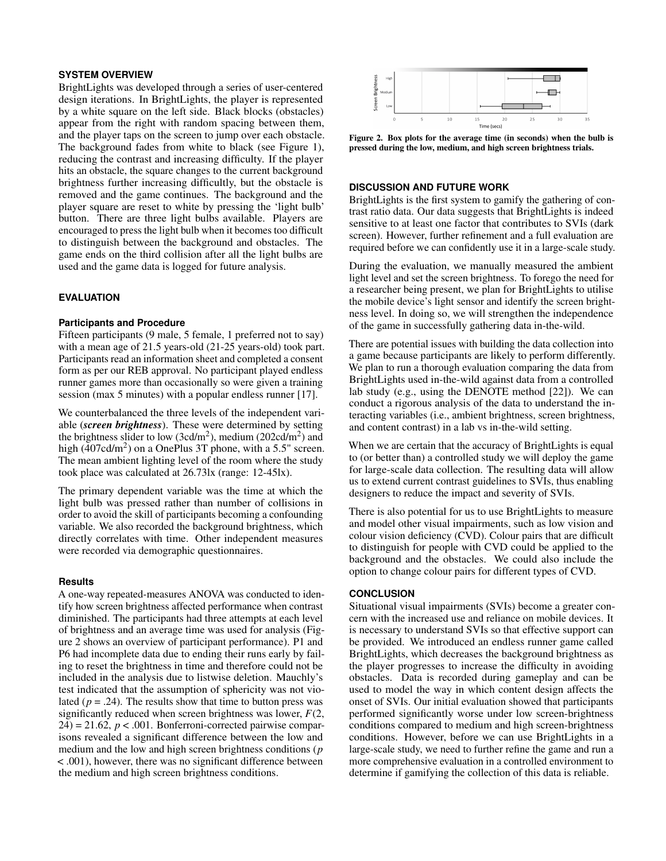## **SYSTEM OVERVIEW**

BrightLights was developed through a series of user-centered design iterations. In BrightLights, the player is represented by a white square on the left side. Black blocks (obstacles) appear from the right with random spacing between them, and the player taps on the screen to jump over each obstacle. The background fades from white to black (see Figure [1\)](#page-0-0), reducing the contrast and increasing difficulty. If the player hits an obstacle, the square changes to the current background brightness further increasing difficultly, but the obstacle is removed and the game continues. The background and the player square are reset to white by pressing the 'light bulb' button. There are three light bulbs available. Players are encouraged to press the light bulb when it becomes too difficult to distinguish between the background and obstacles. The game ends on the third collision after all the light bulbs are used and the game data is logged for future analysis.

## **EVALUATION**

#### **Participants and Procedure**

Fifteen participants (9 male, 5 female, 1 preferred not to say) with a mean age of 21.5 years-old (21-25 years-old) took part. Participants read an information sheet and completed a consent form as per our REB approval. No participant played endless runner games more than occasionally so were given a training session (max 5 minutes) with a popular endless runner [\[17\]](#page-2-20).

We counterbalanced the three levels of the independent variable (*screen brightness*). These were determined by setting the brightness slider to low  $(3cd/m^2)$ , medium  $(202cd/m^2)$  and high (407cd/m<sup>2</sup>) on a OnePlus 3T phone, with a 5.5" screen. The mean ambient lighting level of the room where the study took place was calculated at 26.73lx (range: 12-45lx).

The primary dependent variable was the time at which the light bulb was pressed rather than number of collisions in order to avoid the skill of participants becoming a confounding variable. We also recorded the background brightness, which directly correlates with time. Other independent measures were recorded via demographic questionnaires.

#### **Results**

A one-way repeated-measures ANOVA was conducted to identify how screen brightness affected performance when contrast diminished. The participants had three attempts at each level of brightness and an average time was used for analysis (Figure [2](#page-1-0) shows an overview of participant performance). P1 and P6 had incomplete data due to ending their runs early by failing to reset the brightness in time and therefore could not be included in the analysis due to listwise deletion. Mauchly's test indicated that the assumption of sphericity was not violated  $(p = .24)$ . The results show that time to button press was significantly reduced when screen brightness was lower, *F*(2,  $24$ ) = 21.62,  $p < .001$ . Bonferroni-corrected pairwise comparisons revealed a significant difference between the low and medium and the low and high screen brightness conditions (*p* < .001), however, there was no significant difference between the medium and high screen brightness conditions.



<span id="page-1-0"></span>Figure 2. Box plots for the average time (in seconds) when the bulb is pressed during the low, medium, and high screen brightness trials.

## **DISCUSSION AND FUTURE WORK**

BrightLights is the first system to gamify the gathering of contrast ratio data. Our data suggests that BrightLights is indeed sensitive to at least one factor that contributes to SVIs (dark screen). However, further refinement and a full evaluation are required before we can confidently use it in a large-scale study.

During the evaluation, we manually measured the ambient light level and set the screen brightness. To forego the need for a researcher being present, we plan for BrightLights to utilise the mobile device's light sensor and identify the screen brightness level. In doing so, we will strengthen the independence of the game in successfully gathering data in-the-wild.

There are potential issues with building the data collection into a game because participants are likely to perform differently. We plan to run a thorough evaluation comparing the data from BrightLights used in-the-wild against data from a controlled lab study (e.g., using the DENOTE method [\[22\]](#page-2-21)). We can conduct a rigorous analysis of the data to understand the interacting variables (i.e., ambient brightness, screen brightness, and content contrast) in a lab vs in-the-wild setting.

When we are certain that the accuracy of BrightLights is equal to (or better than) a controlled study we will deploy the game for large-scale data collection. The resulting data will allow us to extend current contrast guidelines to SVIs, thus enabling designers to reduce the impact and severity of SVIs.

There is also potential for us to use BrightLights to measure and model other visual impairments, such as low vision and colour vision deficiency (CVD). Colour pairs that are difficult to distinguish for people with CVD could be applied to the background and the obstacles. We could also include the option to change colour pairs for different types of CVD.

## **CONCLUSION**

Situational visual impairments (SVIs) become a greater concern with the increased use and reliance on mobile devices. It is necessary to understand SVIs so that effective support can be provided. We introduced an endless runner game called BrightLights, which decreases the background brightness as the player progresses to increase the difficulty in avoiding obstacles. Data is recorded during gameplay and can be used to model the way in which content design affects the onset of SVIs. Our initial evaluation showed that participants performed significantly worse under low screen-brightness conditions compared to medium and high screen-brightness conditions. However, before we can use BrightLights in a large-scale study, we need to further refine the game and run a more comprehensive evaluation in a controlled environment to determine if gamifying the collection of this data is reliable.